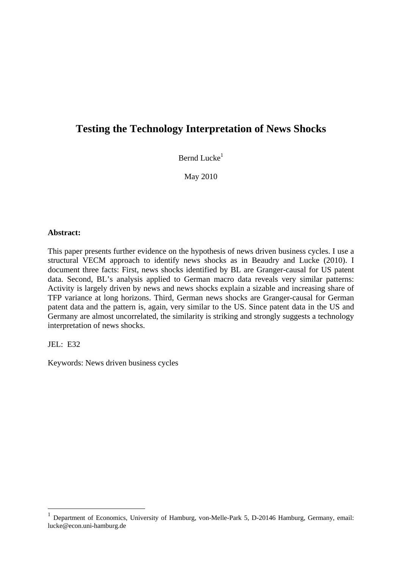# **Testing the Technology Interpretation of News Shocks**

Bernd Lucke $<sup>1</sup>$ </sup>

May 2010

## **Abstract:**

This paper presents further evidence on the hypothesis of news driven business cycles. I use a structural VECM approach to identify news shocks as in Beaudry and Lucke (2010). I document three facts: First, news shocks identified by BL are Granger-causal for US patent data. Second, BL's analysis applied to German macro data reveals very similar patterns: Activity is largely driven by news and news shocks explain a sizable and increasing share of TFP variance at long horizons. Third, German news shocks are Granger-causal for German patent data and the pattern is, again, very similar to the US. Since patent data in the US and Germany are almost uncorrelated, the similarity is striking and strongly suggests a technology interpretation of news shocks.

JEL: E32

1

Keywords: News driven business cycles

<sup>&</sup>lt;sup>1</sup> Department of Economics, University of Hamburg, von-Melle-Park 5, D-20146 Hamburg, Germany, email: lucke@econ.uni-hamburg.de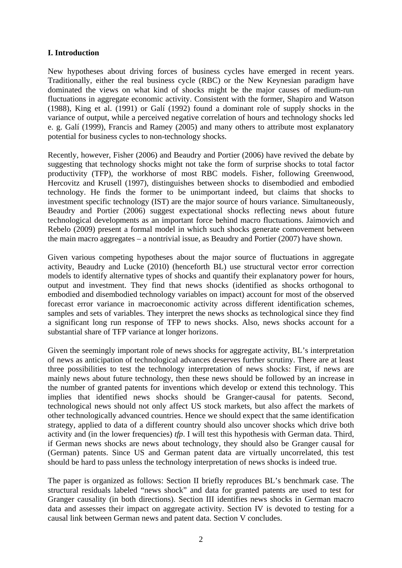# **I. Introduction**

New hypotheses about driving forces of business cycles have emerged in recent years. Traditionally, either the real business cycle (RBC) or the New Keynesian paradigm have dominated the views on what kind of shocks might be the major causes of medium-run fluctuations in aggregate economic activity. Consistent with the former, Shapiro and Watson (1988), King et al. (1991) or Galí (1992) found a dominant role of supply shocks in the variance of output, while a perceived negative correlation of hours and technology shocks led e. g. Galí (1999), Francis and Ramey (2005) and many others to attribute most explanatory potential for business cycles to non-technology shocks.

Recently, however, Fisher (2006) and Beaudry and Portier (2006) have revived the debate by suggesting that technology shocks might not take the form of surprise shocks to total factor productivity (TFP), the workhorse of most RBC models. Fisher, following Greenwood, Hercovitz and Krusell (1997), distinguishes between shocks to disembodied and embodied technology. He finds the former to be unimportant indeed, but claims that shocks to investment specific technology (IST) are the major source of hours variance. Simultaneously, Beaudry and Portier (2006) suggest expectational shocks reflecting news about future technological developments as an important force behind macro fluctuations. Jaimovich and Rebelo (2009) present a formal model in which such shocks generate comovement between the main macro aggregates – a nontrivial issue, as Beaudry and Portier (2007) have shown.

Given various competing hypotheses about the major source of fluctuations in aggregate activity, Beaudry and Lucke (2010) (henceforth BL) use structural vector error correction models to identify alternative types of shocks and quantify their explanatory power for hours, output and investment. They find that news shocks (identified as shocks orthogonal to embodied and disembodied technology variables on impact) account for most of the observed forecast error variance in macroeconomic activity across different identification schemes, samples and sets of variables. They interpret the news shocks as technological since they find a significant long run response of TFP to news shocks. Also, news shocks account for a substantial share of TFP variance at longer horizons.

Given the seemingly important role of news shocks for aggregate activity, BL's interpretation of news as anticipation of technological advances deserves further scrutiny. There are at least three possibilities to test the technology interpretation of news shocks: First, if news are mainly news about future technology, then these news should be followed by an increase in the number of granted patents for inventions which develop or extend this technology. This implies that identified news shocks should be Granger-causal for patents. Second, technological news should not only affect US stock markets, but also affect the markets of other technologically advanced countries. Hence we should expect that the same identification strategy, applied to data of a different country should also uncover shocks which drive both activity and (in the lower frequencies) *tfp*. I will test this hypothesis with German data. Third, if German news shocks are news about technology, they should also be Granger causal for (German) patents. Since US and German patent data are virtually uncorrelated, this test should be hard to pass unless the technology interpretation of news shocks is indeed true.

The paper is organized as follows: Section II briefly reproduces BL's benchmark case. The structural residuals labeled "news shock" and data for granted patents are used to test for Granger causality (in both directions). Section III identifies news shocks in German macro data and assesses their impact on aggregate activity. Section IV is devoted to testing for a causal link between German news and patent data. Section V concludes.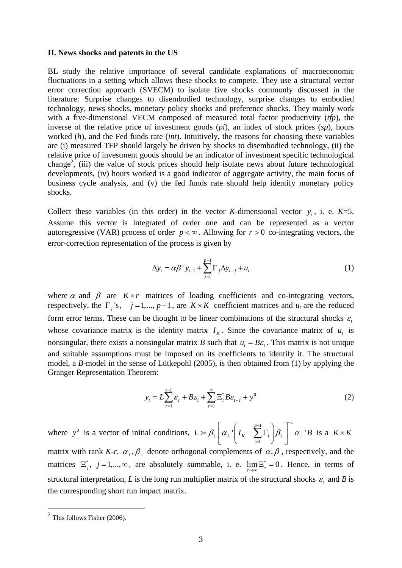#### **II. News shocks and patents in the US**

BL study the relative importance of several candidate explanations of macroeconomic fluctuations in a setting which allows these shocks to compete. They use a structural vector error correction approach (SVECM) to isolate five shocks commonly discussed in the literature: Surprise changes to disembodied technology, surprise changes to embodied technology, news shocks, monetary policy shocks and preference shocks. They mainly work with a five-dimensional VECM composed of measured total factor productivity (*tfp*), the inverse of the relative price of investment goods (*pi*), an index of stock prices (*sp*), hours worked (*h*), and the Fed funds rate (*int*). Intuitively, the reasons for choosing these variables are (i) measured TFP should largely be driven by shocks to disembodied technology, (ii) the relative price of investment goods should be an indicator of investment specific technological change<sup>2</sup>, (iii) the value of stock prices should help isolate news about future technological developments, (iv) hours worked is a good indicator of aggregate activity, the main focus of business cycle analysis, and (v) the fed funds rate should help identify monetary policy shocks.

Collect these variables (in this order) in the vector *K*-dimensional vector  $y_t$ , i. e.  $K=5$ . Assume this vector is integrated of order one and can be represented as a vector autoregressive (VAR) process of order  $p < \infty$ . Allowing for  $r > 0$  co-integrating vectors, the error-correction representation of the process is given by

$$
\Delta y_{t} = \alpha \beta^{T} y_{t-1} + \sum_{j=1}^{p-1} \Gamma_{j} \Delta y_{t-j} + u_{t}
$$
 (1)

where  $\alpha$  and  $\beta$  are  $K \times r$  matrices of loading coefficients and co-integrating vectors, respectively, the  $\Gamma_i$ 's,  $j = 1,..., p-1$ , are  $K \times K$  coefficient matrices and  $u_t$  are the reduced form error terms. These can be thought to be linear combinations of the structural shocks  $\varepsilon$ whose covariance matrix is the identity matrix  $I<sub>K</sub>$ . Since the covariance matrix of  $u<sub>t</sub>$  is nonsingular, there exists a nonsingular matrix *B* such that  $u_t = B\varepsilon_t$ . This matrix is not unique and suitable assumptions must be imposed on its coefficients to identify it. The structural model, a *B*-model in the sense of Lütkepohl (2005), is then obtained from (1) by applying the Granger Representation Theorem:

$$
y_t = L\sum_{\tau=1}^{t-1} \varepsilon_\tau + B\varepsilon_t + \sum_{\tau=1}^{\infty} \Xi_\tau^* B\varepsilon_{t-\tau} + y^0
$$
 (2)

where  $y^0$  is a vector of initial conditions,  $1 \quad \searrow \quad 7^{-1}$ 1  $:=\beta_+ \left[ \alpha_+ \right] I_K - \sum \Gamma_i \left[ \beta_+ \right] \left[ \alpha_+ \right]$ *p K*  $\angle$ <sup>1</sup> *i*  $L \coloneqq \beta_+ \alpha_+ \perp I_K - \sum \Gamma_i \lfloor \beta_+ \rfloor - \alpha_+ \perp B$  $-1$   $\qquad$   $\qquad$   $\qquad$   $\qquad$   $\qquad$   $\qquad$   $\qquad$   $\qquad$   $\qquad$   $\qquad$   $\qquad$   $\qquad$   $\qquad$   $\qquad$   $\qquad$   $\qquad$   $\qquad$   $\qquad$   $\qquad$   $\qquad$   $\qquad$   $\qquad$   $\qquad$   $\qquad$   $\qquad$   $\qquad$   $\qquad$   $\qquad$   $\qquad$   $\qquad$   $\qquad$   $\qquad$   $\qquad$   $\qquad$   $\qquad$   $\qquad$   $\mathcal{L}_\perp \mid u_\perp \mid u_K - \sum_{}^{} \mathbf{1} \cdot_i \mid \mu_\perp \mid u_\perp$  $= \beta_{\perp} \left[ \alpha_{\perp} \left( I_K - \sum_{i=1}^{p-1} \Gamma_i \right) \beta_{\perp} \right]^{-1} \alpha_{\perp} B$  is a  $K \times K$ matrix with rank *K-r*,  $\alpha_{\perp}, \beta_{\perp}$  denote orthogonal complements of  $\alpha, \beta$ , respectively, and the matrices  $\Xi_j^*$ ,  $j = 1,..., \infty$ , are absolutely summable, i. e.  $\lim_{\tau \to \infty} \Xi_{\tau}^* = 0$ . Hence, in terms of structural interpretation, *L* is the long run multiplier matrix of the structural shocks  $\varepsilon$  and *B* is the corresponding short run impact matrix.

 $2$  This follows Fisher (2006).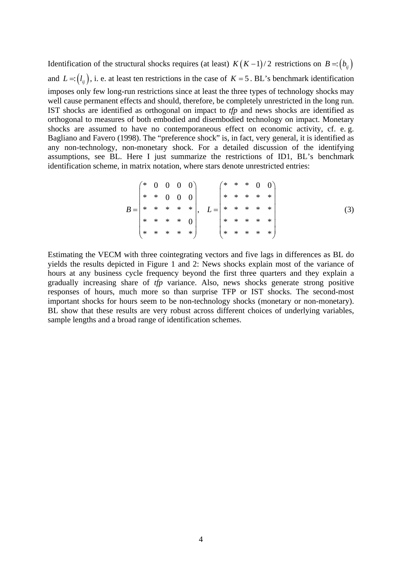Identification of the structural shocks requires (at least) *K*(*K* −1)/2 restrictions on *B* =:(*b<sub>ii</sub>*) and  $L = (l_{ij})$ , i. e. at least ten restrictions in the case of  $K = 5$ . BL's benchmark identification imposes only few long-run restrictions since at least the three types of technology shocks may well cause permanent effects and should, therefore, be completely unrestricted in the long run. IST shocks are identified as orthogonal on impact to *tfp* and news shocks are identified as orthogonal to measures of both embodied and disembodied technology on impact. Monetary shocks are assumed to have no contemporaneous effect on economic activity, cf. e. g. Bagliano and Favero (1998). The "preference shock" is, in fact, very general, it is identified as any non-technology, non-monetary shock. For a detailed discussion of the identifying assumptions, see BL. Here I just summarize the restrictions of ID1, BL's benchmark identification scheme, in matrix notation, where stars denote unrestricted entries:

$$
B = \begin{pmatrix} * & 0 & 0 & 0 & 0 \\ * & * & 0 & 0 & 0 \\ * & * & * & * & * \\ * & * & * & * & 0 \\ * & * & * & * & * \end{pmatrix}, \quad L = \begin{pmatrix} * & * & * & 0 & 0 \\ * & * & * & * & * \\ * & * & * & * & * \\ * & * & * & * & * \end{pmatrix}
$$
 (3)

Estimating the VECM with three cointegrating vectors and five lags in differences as BL do yields the results depicted in Figure 1 and 2: News shocks explain most of the variance of hours at any business cycle frequency beyond the first three quarters and they explain a gradually increasing share of *tfp* variance. Also, news shocks generate strong positive responses of hours, much more so than surprise TFP or IST shocks. The second-most important shocks for hours seem to be non-technology shocks (monetary or non-monetary). BL show that these results are very robust across different choices of underlying variables, sample lengths and a broad range of identification schemes.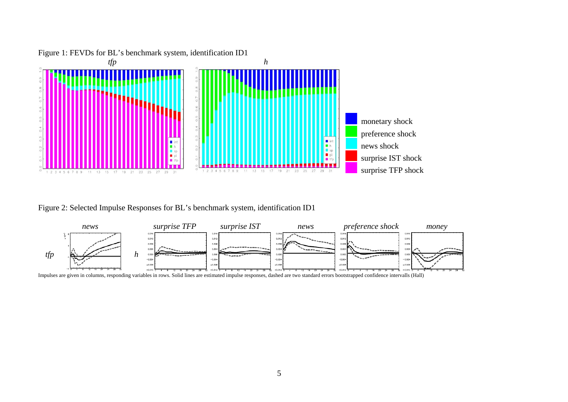

Figure 1: FEVDs for BL's benchmark system, identification ID1

Figure 2: Selected Impulse Responses for BL's benchmark system, identification ID1



Impulses are given in columns, responding variables in rows. Solid lines are estimated impulse responses, dashed are two standard errors bootstrapped confidence intervalls (Hall)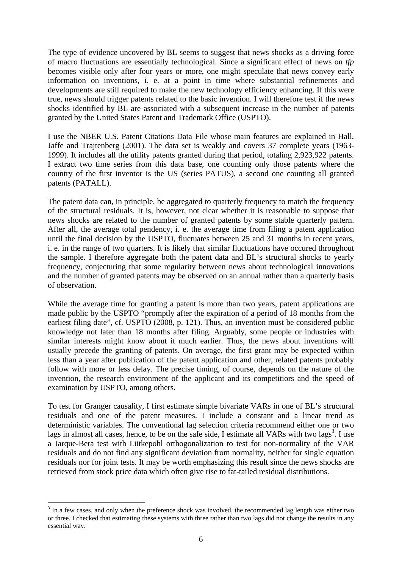The type of evidence uncovered by BL seems to suggest that news shocks as a driving force of macro fluctuations are essentially technological. Since a significant effect of news on *tfp* becomes visible only after four years or more, one might speculate that news convey early information on inventions, i. e. at a point in time where substantial refinements and developments are still required to make the new technology efficiency enhancing. If this were true, news should trigger patents related to the basic invention. I will therefore test if the news shocks identified by BL are associated with a subsequent increase in the number of patents granted by the United States Patent and Trademark Office (USPTO).

I use the NBER U.S. Patent Citations Data File whose main features are explained in Hall, Jaffe and Trajtenberg (2001). The data set is weakly and covers 37 complete years (1963- 1999). It includes all the utility patents granted during that period, totaling 2,923,922 patents. I extract two time series from this data base, one counting only those patents where the country of the first inventor is the US (series PATUS), a second one counting all granted patents (PATALL).

The patent data can, in principle, be aggregated to quarterly frequency to match the frequency of the structural residuals. It is, however, not clear whether it is reasonable to suppose that news shocks are related to the number of granted patents by some stable quarterly pattern. After all, the average total pendency, i. e. the average time from filing a patent application until the final decision by the USPTO, fluctuates between 25 and 31 months in recent years, i. e. in the range of two quarters. It is likely that similar fluctuations have occured throughout the sample. I therefore aggregate both the patent data and BL's structural shocks to yearly frequency, conjecturing that some regularity between news about technological innovations and the number of granted patents may be observed on an annual rather than a quarterly basis of observation.

While the average time for granting a patent is more than two years, patent applications are made public by the USPTO "promptly after the expiration of a period of 18 months from the earliest filing date", cf. USPTO (2008, p. 121). Thus, an invention must be considered public knowledge not later than 18 months after filing. Arguably, some people or industries with similar interests might know about it much earlier. Thus, the news about inventions will usually precede the granting of patents. On average, the first grant may be expected within less than a year after publication of the patent application and other, related patents probably follow with more or less delay. The precise timing, of course, depends on the nature of the invention, the research environment of the applicant and its competitiors and the speed of examination by USPTO, among others.

To test for Granger causality, I first estimate simple bivariate VARs in one of BL's structural residuals and one of the patent measures. I include a constant and a linear trend as deterministic variables. The conventional lag selection criteria recommend either one or two lags in almost all cases, hence, to be on the safe side, I estimate all VARs with two  $\log s^3$ . I use a Jarque-Bera test with Lütkepohl orthogonalization to test for non-normality of the VAR residuals and do not find any significant deviation from normality, neither for single equation residuals nor for joint tests. It may be worth emphasizing this result since the news shocks are retrieved from stock price data which often give rise to fat-tailed residual distributions.

<sup>&</sup>lt;sup>3</sup> In a few cases, and only when the preference shock was involved, the recommended lag length was either two or three. I checked that estimating these systems with three rather than two lags did not change the results in any essential way.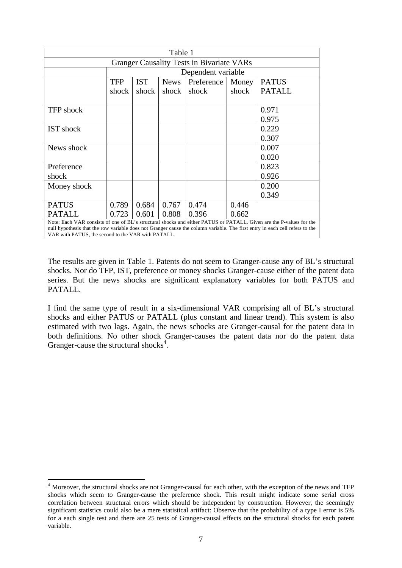| Table 1                                                                                                             |                    |            |             |            |       |               |  |
|---------------------------------------------------------------------------------------------------------------------|--------------------|------------|-------------|------------|-------|---------------|--|
| <b>Granger Causality Tests in Bivariate VARs</b>                                                                    |                    |            |             |            |       |               |  |
|                                                                                                                     | Dependent variable |            |             |            |       |               |  |
|                                                                                                                     | TFP                | <b>IST</b> | <b>News</b> | Preference | Money | <b>PATUS</b>  |  |
|                                                                                                                     | shock              | shock      | shock       | shock      | shock | <b>PATALL</b> |  |
|                                                                                                                     |                    |            |             |            |       |               |  |
| <b>TFP</b> shock                                                                                                    |                    |            |             |            |       | 0.971         |  |
|                                                                                                                     |                    |            |             |            |       | 0.975         |  |
| <b>IST</b> shock                                                                                                    |                    |            |             |            |       | 0.229         |  |
|                                                                                                                     |                    |            |             |            |       | 0.307         |  |
| News shock                                                                                                          |                    |            |             |            |       | 0.007         |  |
|                                                                                                                     |                    |            |             |            |       | 0.020         |  |
| Preference                                                                                                          |                    |            |             |            |       | 0.823         |  |
| shock                                                                                                               |                    |            |             |            |       | 0.926         |  |
| Money shock                                                                                                         |                    |            |             |            |       | 0.200         |  |
|                                                                                                                     |                    |            |             |            |       | 0.349         |  |
| <b>PATUS</b>                                                                                                        | 0.789              | 0.684      | 0.767       | 0.474      | 0.446 |               |  |
| <b>PATALL</b>                                                                                                       | 0.723              | 0.601      | 0.808       | 0.396      | 0.662 |               |  |
| Note: Each VAR consists of one of BL's structural shocks and either PATUS or PATALL. Given are the P-values for the |                    |            |             |            |       |               |  |

null hypothesis that the row variable does not Granger cause the column variable. The first entry in each cell refers to the VAR with PATUS, the second to the VAR with PATALL.

The results are given in Table 1. Patents do not seem to Granger-cause any of BL's structural shocks. Nor do TFP, IST, preference or money shocks Granger-cause either of the patent data series. But the news shocks are significant explanatory variables for both PATUS and PATALL.

I find the same type of result in a six-dimensional VAR comprising all of BL's structural shocks and either PATUS or PATALL (plus constant and linear trend). This system is also estimated with two lags. Again, the news schocks are Granger-causal for the patent data in both definitions. No other shock Granger-causes the patent data nor do the patent data Granger-cause the structural shocks<sup>4</sup>.

<sup>1</sup> <sup>4</sup> Moreover, the structural shocks are not Granger-causal for each other, with the exception of the news and TFP shocks which seem to Granger-cause the preference shock. This result might indicate some serial cross correlation between structural errors which should be independent by construction. However, the seemingly significant statistics could also be a mere statistical artifact: Observe that the probability of a type I error is 5% for a each single test and there are 25 tests of Granger-causal effects on the structural shocks for each patent variable.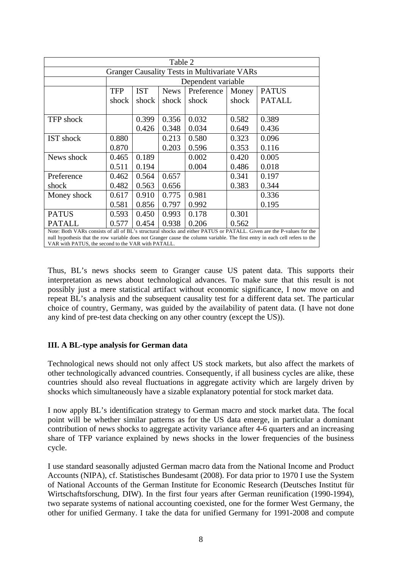| Table 2                                                                                                                                                                                                                                                                                                    |                    |            |             |            |       |               |  |  |
|------------------------------------------------------------------------------------------------------------------------------------------------------------------------------------------------------------------------------------------------------------------------------------------------------------|--------------------|------------|-------------|------------|-------|---------------|--|--|
| <b>Granger Causality Tests in Multivariate VARs</b>                                                                                                                                                                                                                                                        |                    |            |             |            |       |               |  |  |
|                                                                                                                                                                                                                                                                                                            | Dependent variable |            |             |            |       |               |  |  |
|                                                                                                                                                                                                                                                                                                            | <b>TFP</b>         | <b>IST</b> | <b>News</b> | Preference | Money | <b>PATUS</b>  |  |  |
|                                                                                                                                                                                                                                                                                                            | shock              | shock      | shock       | shock      | shock | <b>PATALL</b> |  |  |
|                                                                                                                                                                                                                                                                                                            |                    |            |             |            |       |               |  |  |
| <b>TFP</b> shock                                                                                                                                                                                                                                                                                           |                    | 0.399      | 0.356       | 0.032      | 0.582 | 0.389         |  |  |
|                                                                                                                                                                                                                                                                                                            |                    | 0.426      | 0.348       | 0.034      | 0.649 | 0.436         |  |  |
| <b>IST</b> shock                                                                                                                                                                                                                                                                                           | 0.880              |            | 0.213       | 0.580      | 0.323 | 0.096         |  |  |
|                                                                                                                                                                                                                                                                                                            | 0.870              |            | 0.203       | 0.596      | 0.353 | 0.116         |  |  |
| News shock                                                                                                                                                                                                                                                                                                 | 0.465              | 0.189      |             | 0.002      | 0.420 | 0.005         |  |  |
|                                                                                                                                                                                                                                                                                                            | 0.511              | 0.194      |             | 0.004      | 0.486 | 0.018         |  |  |
| Preference                                                                                                                                                                                                                                                                                                 | 0.462              | 0.564      | 0.657       |            | 0.341 | 0.197         |  |  |
| shock                                                                                                                                                                                                                                                                                                      | 0.482              | 0.563      | 0.656       |            | 0.383 | 0.344         |  |  |
| Money shock                                                                                                                                                                                                                                                                                                | 0.617              | 0.910      | 0.775       | 0.981      |       | 0.336         |  |  |
|                                                                                                                                                                                                                                                                                                            | 0.581              | 0.856      | 0.797       | 0.992      |       | 0.195         |  |  |
| <b>PATUS</b>                                                                                                                                                                                                                                                                                               | 0.593              | 0.450      | 0.993       | 0.178      | 0.301 |               |  |  |
| <b>PATALL</b>                                                                                                                                                                                                                                                                                              | 0.577              | 0.454      | 0.938       | 0.206      | 0.562 |               |  |  |
| Note: Both VARs consists of all of BL's structural shocks and either PATUS or PATALL. Given are the P-values for the<br>null hypothesis that the row variable does not Granger cause the column variable. The first entry in each cell refers to the<br>VAR with PATUS, the second to the VAR with PATALL. |                    |            |             |            |       |               |  |  |

Thus, BL's news shocks seem to Granger cause US patent data. This supports their interpretation as news about technological advances. To make sure that this result is not possibly just a mere statistical artifact without economic significance, I now move on and repeat BL's analysis and the subsequent causality test for a different data set. The particular choice of country, Germany, was guided by the availability of patent data. (I have not done any kind of pre-test data checking on any other country (except the US)).

# **III. A BL-type analysis for German data**

Technological news should not only affect US stock markets, but also affect the markets of other technologically advanced countries. Consequently, if all business cycles are alike, these countries should also reveal fluctuations in aggregate activity which are largely driven by shocks which simultaneously have a sizable explanatory potential for stock market data.

I now apply BL's identification strategy to German macro and stock market data. The focal point will be whether similar patterns as for the US data emerge, in particular a dominant contribution of news shocks to aggregate activity variance after 4-6 quarters and an increasing share of TFP variance explained by news shocks in the lower frequencies of the business cycle.

I use standard seasonally adjusted German macro data from the National Income and Product Accounts (NIPA), cf. Statistisches Bundesamt (2008). For data prior to 1970 I use the System of National Accounts of the German Institute for Economic Research (Deutsches Institut für Wirtschaftsforschung, DIW). In the first four years after German reunification (1990-1994), two separate systems of national accounting coexisted, one for the former West Germany, the other for unified Germany. I take the data for unified Germany for 1991-2008 and compute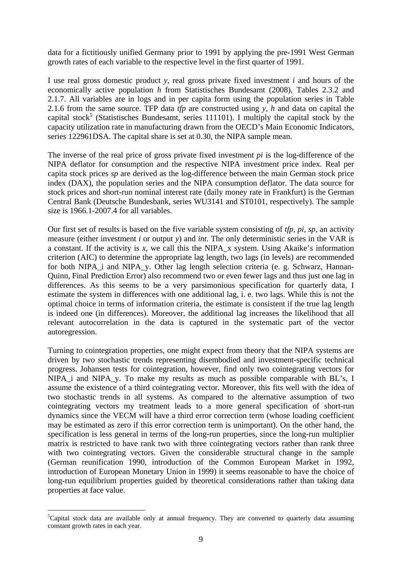data for a fictitiously unified Germany prior to 1991 by applying the pre-1991 West German growth rates of each variable to the respective level in the first quarter of 1991.

I use real gross domestic product *y*, real gross private fixed investment *i* and hours of the economically active population *h* from Statistisches Bundesamt (2008), Tables 2.3.2 and 2.1.7. All variables are in logs and in per capita form using the population series in Table 2.1.6 from the same source. TFP data *tfp* are constructed using *y, h* and data on capital the capital stock<sup>5</sup> (Statistisches Bundesamt, series 111101). I multiply the capital stock by the capacity utilization rate in manufacturing drawn from the OECD's Main Economic Indicators, series 122961DSA. The capital share is set at 0.30, the NIPA sample mean.

The inverse of the real price of gross private fixed investment *pi* is the log-difference of the NIPA deflator for consumption and the respective NIPA investment price index. Real per capita stock prices *sp* are derived as the log-difference between the main German stock price index (DAX), the population series and the NIPA consumption deflator. The data source for stock prices and short-run nominal interest rate (daily money rate in Frankfurt) is the German Central Bank (Deutsche Bundesbank, series WU3141 and ST0101, respectively). The sample size is 1966.1-2007.4 for all variables.

Our first set of results is based on the five variable system consisting of *tfp, pi, sp,* an activity measure (either investment *i* or output *y*) and *int*. The only deterministic series in the VAR is a constant. If the activity is x, we call this the NIPA  $x$  system. Using Akaike's information criterion (AIC) to determine the appropriate lag length, two lags (in levels) are recommended for both NIPA\_i and NIPA\_y. Other lag length selection criteria (e. g. Schwarz, Hannan-Quinn, Final Prediction Error) also recommend two or even fewer lags and thus just one lag in differences. As this seems to be a very parsimonious specification for quarterly data, I estimate the system in differences with one additional lag, i. e. two lags. While this is not the optimal choice in terms of information criteria, the estimate is consistent if the true lag length is indeed one (in differences). Moreover, the additional lag increases the likelihood that all relevant autocorrelation in the data is captured in the systematic part of the vector autoregression.

Turning to cointegration properties, one might expect from theory that the NIPA systems are driven by two stochastic trends representing disembodied and investment-specific technical progress. Johansen tests for cointegration, however, find only two cointegrating vectors for NIPA\_i and NIPA\_y. To make my results as much as possible comparable with BL's, I assume the existence of a third cointegrating vector. Moreover, this fits well with the idea of two stochastic trends in all systems. As compared to the alternative assumption of two cointegrating vectors my treatment leads to a more general specification of short-run dynamics since the VECM will have a third error correction term (whose loading coefficient may be estimated as zero if this error correction term is unimportant). On the other hand, the specification is less general in terms of the long-run properties, since the long-run multiplier matrix is restricted to have rank two with three cointegrating vectors rather than rank three with two cointegrating vectors. Given the considerable structural change in the sample (German reunification 1990, introduction of the Common European Market in 1992, introduction of European Monetary Union in 1999) it seems reasonable to have the choice of long-run equilibrium properties guided by theoretical considerations rather than taking data properties at face value.

 ${}^{5}$ Capital stock data are available only at annual frequency. They are converted to quarterly data assuming constant growth rates in each year.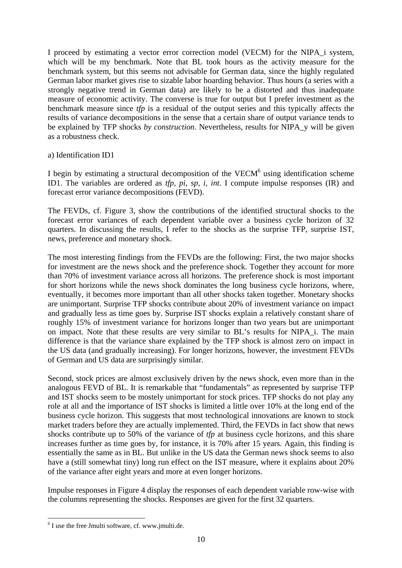I proceed by estimating a vector error correction model (VECM) for the NIPA\_i system, which will be my benchmark. Note that BL took hours as the activity measure for the benchmark system, but this seems not advisable for German data, since the highly regulated German labor market gives rise to sizable labor hoarding behavior. Thus hours (a series with a strongly negative trend in German data) are likely to be a distorted and thus inadequate measure of economic activity. The converse is true for output but I prefer investment as the benchmark measure since *tfp* is a residual of the output series and this typically affects the results of variance decompositions in the sense that a certain share of output variance tends to be explained by TFP shocks *by construction*. Nevertheless, results for NIPA\_y will be given as a robustness check.

## a) Identification ID1

I begin by estimating a structural decomposition of the VECM $<sup>6</sup>$  using identification scheme</sup> ID1. The variables are ordered as *tfp, pi, sp, i, int.* I compute impulse responses (IR) and forecast error variance decompositions (FEVD).

The FEVDs, cf. Figure 3, show the contributions of the identified structural shocks to the forecast error variances of each dependent variable over a business cycle horizon of 32 quarters. In discussing the results, I refer to the shocks as the surprise TFP, surprise IST, news, preference and monetary shock.

The most interesting findings from the FEVDs are the following: First, the two major shocks for investment are the news shock and the preference shock. Together they account for more than 70% of investment variance across all horizons. The preference shock is most important for short horizons while the news shock dominates the long business cycle horizons, where, eventually, it becomes more important than all other shocks taken together. Monetary shocks are unimportant. Surprise TFP shocks contribute about 20% of investment variance on impact and gradually less as time goes by. Surprise IST shocks explain a relatively constant share of roughly 15% of investment variance for horizons longer than two years but are unimportant on impact. Note that these results are very similar to BL's results for NIPA\_i. The main difference is that the variance share explained by the TFP shock is almost zero on impact in the US data (and gradually increasing). For longer horizons, however, the investment FEVDs of German and US data are surprisingly similar.

Second, stock prices are almost exclusively driven by the news shock, even more than in the analogous FEVD of BL. It is remarkable that "fundamentals" as represented by surprise TFP and IST shocks seem to be mostely unimportant for stock prices. TFP shocks do not play any role at all and the importance of IST shocks is limited a little over 10% at the long end of the business cycle horizon. This suggests that most technological innovations are known to stock market traders before they are actually implemented. Third, the FEVDs in fact show that news shocks contribute up to 50% of the variance of *tfp* at business cycle horizons, and this share increases further as time goes by, for instance, it is 70% after 15 years. Again, this finding is essentially the same as in BL. But unlike in the US data the German news shock seems to also have a (still somewhat tiny) long run effect on the IST measure, where it explains about 20% of the variance after eight years and more at even longer horizons.

Impulse responses in Figure 4 display the responses of each dependent variable row-wise with the columns representing the shocks. Responses are given for the first 32 quarters.

<sup>6</sup> I use the free Jmulti software, cf. www.jmulti.de.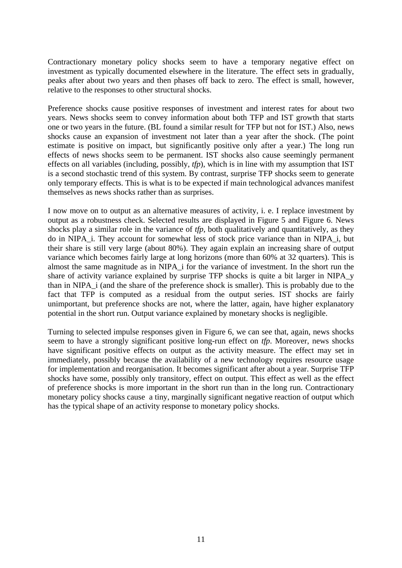Contractionary monetary policy shocks seem to have a temporary negative effect on investment as typically documented elsewhere in the literature. The effect sets in gradually, peaks after about two years and then phases off back to zero. The effect is small, however, relative to the responses to other structural shocks.

Preference shocks cause positive responses of investment and interest rates for about two years. News shocks seem to convey information about both TFP and IST growth that starts one or two years in the future. (BL found a similar result for TFP but not for IST.) Also, news shocks cause an expansion of investment not later than a year after the shock. (The point estimate is positive on impact, but significantly positive only after a year.) The long run effects of news shocks seem to be permanent. IST shocks also cause seemingly permanent effects on all variables (including, possibly, *tfp*), which is in line with my assumption that IST is a second stochastic trend of this system. By contrast, surprise TFP shocks seem to generate only temporary effects. This is what is to be expected if main technological advances manifest themselves as news shocks rather than as surprises.

I now move on to output as an alternative measures of activity, i. e. I replace investment by output as a robustness check. Selected results are displayed in Figure 5 and Figure 6. News shocks play a similar role in the variance of *tfp*, both qualitatively and quantitatively, as they do in NIPA\_i. They account for somewhat less of stock price variance than in NIPA\_i, but their share is still very large (about 80%). They again explain an increasing share of output variance which becomes fairly large at long horizons (more than 60% at 32 quarters). This is almost the same magnitude as in NIPA\_i for the variance of investment. In the short run the share of activity variance explained by surprise TFP shocks is quite a bit larger in NIPA\_y than in NIPA\_i (and the share of the preference shock is smaller). This is probably due to the fact that TFP is computed as a residual from the output series. IST shocks are fairly unimportant, but preference shocks are not, where the latter, again, have higher explanatory potential in the short run. Output variance explained by monetary shocks is negligible.

Turning to selected impulse responses given in Figure 6, we can see that, again, news shocks seem to have a strongly significant positive long-run effect on *tfp*. Moreover, news shocks have significant positive effects on output as the activity measure. The effect may set in immediately, possibly because the availability of a new technology requires resource usage for implementation and reorganisation. It becomes significant after about a year. Surprise TFP shocks have some, possibly only transitory, effect on output. This effect as well as the effect of preference shocks is more important in the short run than in the long run. Contractionary monetary policy shocks cause a tiny, marginally significant negative reaction of output which has the typical shape of an activity response to monetary policy shocks.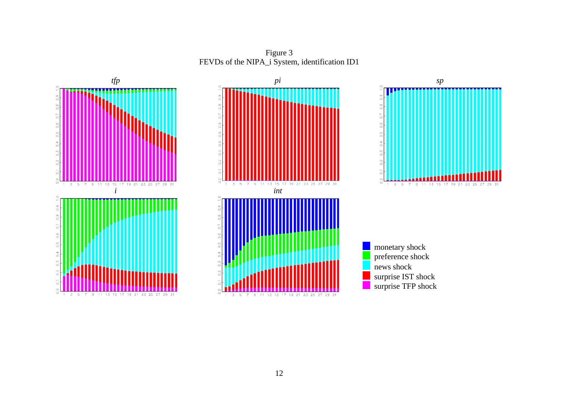Figure 3 FEVDs of the NIPA\_i System, identification ID1







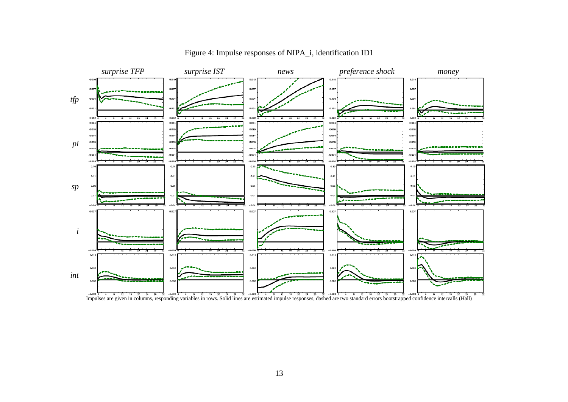

Figure 4: Impulse responses of NIPA\_i, identification ID1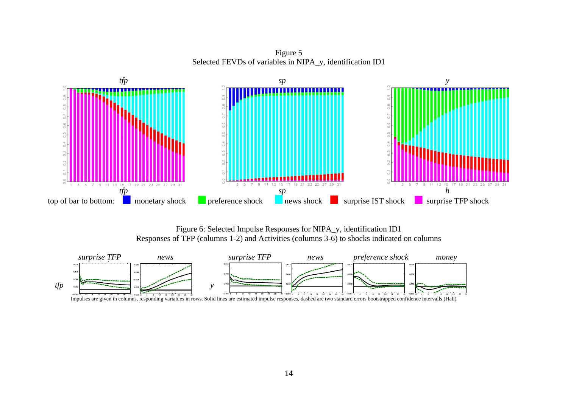Figure 5 Selected FEVDs of variables in NIPA\_y, identification ID1



Figure 6: Selected Impulse Responses for NIPA\_y, identification ID1 Responses of TFP (columns 1-2) and Activities (columns 3-6) to shocks indicated on columns



Impulses are given in columns, responding variables in rows. Solid lines are estimated impulse responses, dashed are two standard errors bootstrapped confidence intervalls (Hall)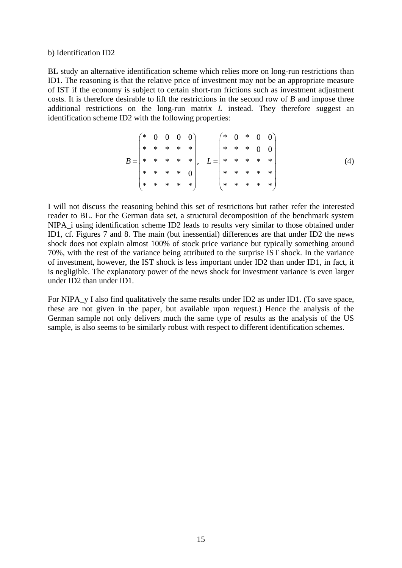#### b) Identification ID2

BL study an alternative identification scheme which relies more on long-run restrictions than ID1. The reasoning is that the relative price of investment may not be an appropriate measure of IST if the economy is subject to certain short-run frictions such as investment adjustment costs. It is therefore desirable to lift the restrictions in the second row of *B* and impose three additional restrictions on the long-run matrix *L* instead. They therefore suggest an identification scheme ID2 with the following properties:

$$
B = \begin{pmatrix} * & 0 & 0 & 0 & 0 \\ * & * & * & * & * \\ * & * & * & * & * \\ * & * & * & * & 0 \\ * & * & * & * & * \end{pmatrix}, \quad L = \begin{pmatrix} * & 0 & * & 0 & 0 \\ * & * & * & 0 & 0 \\ * & * & * & * & * \\ * & * & * & * & * \end{pmatrix} \tag{4}
$$

I will not discuss the reasoning behind this set of restrictions but rather refer the interested reader to BL. For the German data set, a structural decomposition of the benchmark system NIPA\_i using identification scheme ID2 leads to results very similar to those obtained under ID1, cf. Figures 7 and 8. The main (but inessential) differences are that under ID2 the news shock does not explain almost 100% of stock price variance but typically something around 70%, with the rest of the variance being attributed to the surprise IST shock. In the variance of investment, however, the IST shock is less important under ID2 than under ID1, in fact, it is negligible. The explanatory power of the news shock for investment variance is even larger under ID2 than under ID1.

For NIPA\_y I also find qualitatively the same results under ID2 as under ID1. (To save space, these are not given in the paper, but available upon request.) Hence the analysis of the German sample not only delivers much the same type of results as the analysis of the US sample, is also seems to be similarly robust with respect to different identification schemes.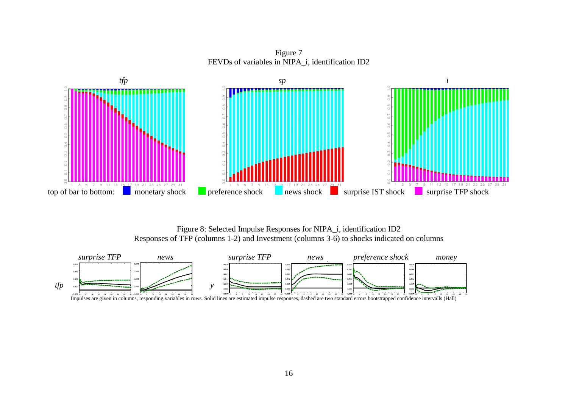Figure 7 FEVDs of variables in NIPA\_i, identification ID2



Figure 8: Selected Impulse Responses for NIPA\_i, identification ID2 Responses of TFP (columns 1-2) and Investment (columns 3-6) to shocks indicated on columns



Impulses are given in columns, responding variables in rows. Solid lines are estimated impulse responses, dashed are two standard errors bootstrapped confidence intervalls (Hall)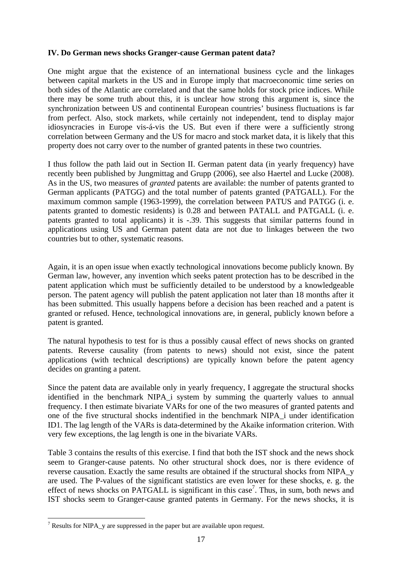# **IV. Do German news shocks Granger-cause German patent data?**

One might argue that the existence of an international business cycle and the linkages between capital markets in the US and in Europe imply that macroeconomic time series on both sides of the Atlantic are correlated and that the same holds for stock price indices. While there may be some truth about this, it is unclear how strong this argument is, since the synchronization between US and continental European countries' business fluctuations is far from perfect. Also, stock markets, while certainly not independent, tend to display major idiosyncracies in Europe vis-á-vis the US. But even if there were a sufficiently strong correlation between Germany and the US for macro and stock market data, it is likely that this property does not carry over to the number of granted patents in these two countries.

I thus follow the path laid out in Section II. German patent data (in yearly frequency) have recently been published by Jungmittag and Grupp (2006), see also Haertel and Lucke (2008). As in the US, two measures of *granted* patents are available: the number of patents granted to German applicants (PATGG) and the total number of patents granted (PATGALL). For the maximum common sample (1963-1999), the correlation between PATUS and PATGG (i. e. patents granted to domestic residents) is 0.28 and between PATALL and PATGALL (i. e. patents granted to total applicants) it is -.39. This suggests that similar patterns found in applications using US and German patent data are not due to linkages between the two countries but to other, systematic reasons.

Again, it is an open issue when exactly technological innovations become publicly known. By German law, however, any invention which seeks patent protection has to be described in the patent application which must be sufficiently detailed to be understood by a knowledgeable person. The patent agency will publish the patent application not later than 18 months after it has been submitted. This usually happens before a decision has been reached and a patent is granted or refused. Hence, technological innovations are, in general, publicly known before a patent is granted.

The natural hypothesis to test for is thus a possibly causal effect of news shocks on granted patents. Reverse causality (from patents to news) should not exist, since the patent applications (with technical descriptions) are typically known before the patent agency decides on granting a patent.

Since the patent data are available only in yearly frequency, I aggregate the structural shocks identified in the benchmark NIPA\_i system by summing the quarterly values to annual frequency. I then estimate bivariate VARs for one of the two measures of granted patents and one of the five structural shocks indentified in the benchmark NIPA\_i under identification ID1. The lag length of the VARs is data-determined by the Akaike information criterion. With very few exceptions, the lag length is one in the bivariate VARs.

Table 3 contains the results of this exercise. I find that both the IST shock and the news shock seem to Granger-cause patents. No other structural shock does, nor is there evidence of reverse causation. Exactly the same results are obtained if the structural shocks from NIPA\_y are used. The P-values of the significant statistics are even lower for these shocks, e. g. the effect of news shocks on PATGALL is significant in this case<sup>7</sup>. Thus, in sum, both news and IST shocks seem to Granger-cause granted patents in Germany. For the news shocks, it is

 $7$  Results for NIPA\_y are suppressed in the paper but are available upon request.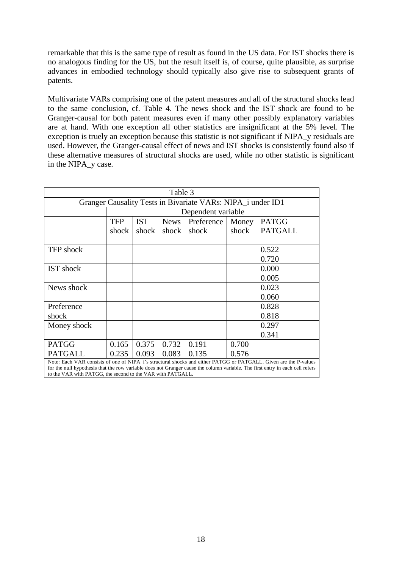remarkable that this is the same type of result as found in the US data. For IST shocks there is no analogous finding for the US, but the result itself is, of course, quite plausible, as surprise advances in embodied technology should typically also give rise to subsequent grants of patents.

Multivariate VARs comprising one of the patent measures and all of the structural shocks lead to the same conclusion, cf. Table 4. The news shock and the IST shock are found to be Granger-causal for both patent measures even if many other possibly explanatory variables are at hand. With one exception all other statistics are insignificant at the 5% level. The exception is truely an exception because this statistic is not significant if NIPA\_y residuals are used. However, the Granger-causal effect of news and IST shocks is consistently found also if these alternative measures of structural shocks are used, while no other statistic is significant in the NIPA\_y case.

| Table 3                                                                                                                                                                                                                                                                                                         |                    |            |             |            |       |                |  |
|-----------------------------------------------------------------------------------------------------------------------------------------------------------------------------------------------------------------------------------------------------------------------------------------------------------------|--------------------|------------|-------------|------------|-------|----------------|--|
| Granger Causality Tests in Bivariate VARs: NIPA_i under ID1                                                                                                                                                                                                                                                     |                    |            |             |            |       |                |  |
|                                                                                                                                                                                                                                                                                                                 | Dependent variable |            |             |            |       |                |  |
|                                                                                                                                                                                                                                                                                                                 | <b>TFP</b>         | <b>IST</b> | <b>News</b> | Preference | Money | <b>PATGG</b>   |  |
|                                                                                                                                                                                                                                                                                                                 | shock              | shock      | shock       | shock      | shock | <b>PATGALL</b> |  |
|                                                                                                                                                                                                                                                                                                                 |                    |            |             |            |       |                |  |
| <b>TFP</b> shock                                                                                                                                                                                                                                                                                                |                    |            |             |            |       | 0.522          |  |
|                                                                                                                                                                                                                                                                                                                 |                    |            |             |            |       | 0.720          |  |
| <b>IST</b> shock                                                                                                                                                                                                                                                                                                |                    |            |             |            |       | 0.000          |  |
|                                                                                                                                                                                                                                                                                                                 |                    |            |             |            |       | 0.005          |  |
| News shock                                                                                                                                                                                                                                                                                                      |                    |            |             |            |       | 0.023          |  |
|                                                                                                                                                                                                                                                                                                                 |                    |            |             |            |       | 0.060          |  |
| Preference                                                                                                                                                                                                                                                                                                      |                    |            |             |            |       | 0.828          |  |
| shock                                                                                                                                                                                                                                                                                                           |                    |            |             |            |       | 0.818          |  |
| Money shock                                                                                                                                                                                                                                                                                                     |                    |            |             |            |       | 0.297          |  |
|                                                                                                                                                                                                                                                                                                                 |                    |            |             |            |       | 0.341          |  |
| <b>PATGG</b>                                                                                                                                                                                                                                                                                                    | 0.165              | 0.375      | 0.732       | 0.191      | 0.700 |                |  |
| <b>PATGALL</b>                                                                                                                                                                                                                                                                                                  | 0.235              | 0.093      | 0.083       | 0.135      | 0.576 |                |  |
| Note: Each VAR consists of one of NIPA_i's structural shocks and either PATGG or PATGALL. Given are the P-values<br>for the null hypothesis that the row variable does not Granger cause the column variable. The first entry in each cell refers<br>to the VAR with PATGG, the second to the VAR with PATGALL. |                    |            |             |            |       |                |  |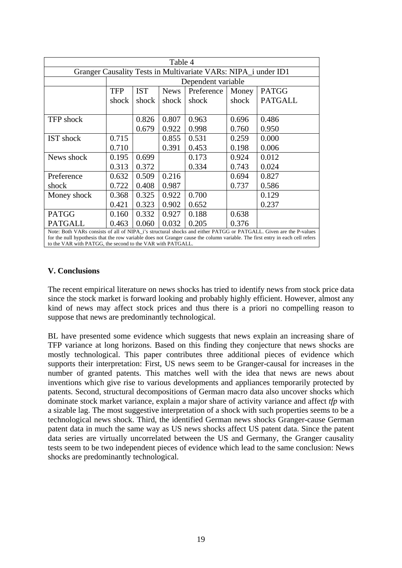| Table 4                                                                                                                                                                                                                                                                                                          |                    |            |             |            |       |                |  |
|------------------------------------------------------------------------------------------------------------------------------------------------------------------------------------------------------------------------------------------------------------------------------------------------------------------|--------------------|------------|-------------|------------|-------|----------------|--|
| Granger Causality Tests in Multivariate VARs: NIPA_i under ID1                                                                                                                                                                                                                                                   |                    |            |             |            |       |                |  |
|                                                                                                                                                                                                                                                                                                                  | Dependent variable |            |             |            |       |                |  |
|                                                                                                                                                                                                                                                                                                                  | <b>TFP</b>         | <b>IST</b> | <b>News</b> | Preference | Money | <b>PATGG</b>   |  |
|                                                                                                                                                                                                                                                                                                                  | shock              | shock      | shock       | shock      | shock | <b>PATGALL</b> |  |
|                                                                                                                                                                                                                                                                                                                  |                    |            |             |            |       |                |  |
| <b>TFP</b> shock                                                                                                                                                                                                                                                                                                 |                    | 0.826      | 0.807       | 0.963      | 0.696 | 0.486          |  |
|                                                                                                                                                                                                                                                                                                                  |                    | 0.679      | 0.922       | 0.998      | 0.760 | 0.950          |  |
| <b>IST</b> shock                                                                                                                                                                                                                                                                                                 | 0.715              |            | 0.855       | 0.531      | 0.259 | 0.000          |  |
|                                                                                                                                                                                                                                                                                                                  | 0.710              |            | 0.391       | 0.453      | 0.198 | 0.006          |  |
| News shock                                                                                                                                                                                                                                                                                                       | 0.195              | 0.699      |             | 0.173      | 0.924 | 0.012          |  |
|                                                                                                                                                                                                                                                                                                                  | 0.313              | 0.372      |             | 0.334      | 0.743 | 0.024          |  |
| Preference                                                                                                                                                                                                                                                                                                       | 0.632              | 0.509      | 0.216       |            | 0.694 | 0.827          |  |
| shock                                                                                                                                                                                                                                                                                                            | 0.722              | 0.408      | 0.987       |            | 0.737 | 0.586          |  |
| Money shock                                                                                                                                                                                                                                                                                                      | 0.368              | 0.325      | 0.922       | 0.700      |       | 0.129          |  |
|                                                                                                                                                                                                                                                                                                                  | 0.421              | 0.323      | 0.902       | 0.652      |       | 0.237          |  |
| <b>PATGG</b>                                                                                                                                                                                                                                                                                                     | 0.160              | 0.332      | 0.927       | 0.188      | 0.638 |                |  |
| <b>PATGALL</b>                                                                                                                                                                                                                                                                                                   | 0.463              | 0.060      | 0.032       | 0.205      | 0.376 |                |  |
| Note: Both VARs consists of all of NIPA_i's structural shocks and either PATGG or PATGALL. Given are the P-values<br>for the null hypothesis that the row variable does not Granger cause the column variable. The first entry in each cell refers<br>to the VAR with PATGG, the second to the VAR with PATGALL. |                    |            |             |            |       |                |  |

# **V. Conclusions**

The recent empirical literature on news shocks has tried to identify news from stock price data since the stock market is forward looking and probably highly efficient. However, almost any kind of news may affect stock prices and thus there is a priori no compelling reason to suppose that news are predominantly technological.

BL have presented some evidence which suggests that news explain an increasing share of TFP variance at long horizons. Based on this finding they conjecture that news shocks are mostly technological. This paper contributes three additional pieces of evidence which supports their interpretation: First, US news seem to be Granger-causal for increases in the number of granted patents. This matches well with the idea that news are news about inventions which give rise to various developments and appliances temporarily protected by patents. Second, structural decompositions of German macro data also uncover shocks which dominate stock market variance, explain a major share of activity variance and affect *tfp* with a sizable lag. The most suggestive interpretation of a shock with such properties seems to be a technological news shock. Third, the identified German news shocks Granger-cause German patent data in much the same way as US news shocks affect US patent data. Since the patent data series are virtually uncorrelated between the US and Germany, the Granger causality tests seem to be two independent pieces of evidence which lead to the same conclusion: News shocks are predominantly technological.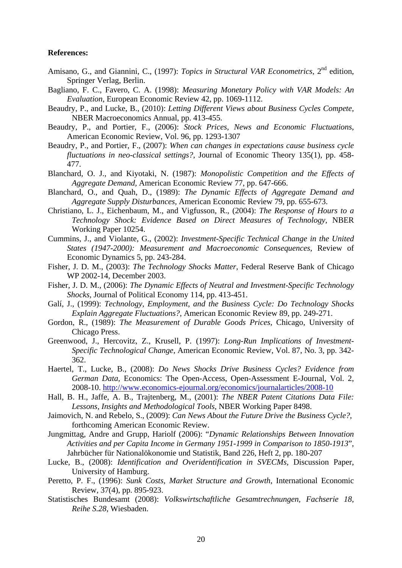### **References:**

- Amisano, G., and Giannini, C., (1997): *Topics in Structural VAR Econometrics*, 2<sup>nd</sup> edition, Springer Verlag, Berlin.
- Bagliano, F. C., Favero, C. A. (1998): *Measuring Monetary Policy with VAR Models: An Evaluation*, European Economic Review 42, pp. 1069-1112.
- Beaudry, P., and Lucke, B., (2010): *Letting Different Views about Business Cycles Compete,* NBER Macroeconomics Annual, pp. 413-455.
- Beaudry, P., and Portier, F., (2006): *Stock Prices, News and Economic Fluctuations*, American Economic Review, Vol. 96, pp. 1293-1307
- Beaudry, P., and Portier, F., (2007): *When can changes in expectations cause business cycle fluctuations in neo-classical settings?*, Journal of Economic Theory 135(1), pp. 458- 477.
- Blanchard, O. J., and Kiyotaki, N. (1987): *Monopolistic Competition and the Effects of Aggregate Demand,* American Economic Review 77, pp. 647-666.
- Blanchard, O., and Quah, D., (1989): *The Dynamic Effects of Aggregate Demand and Aggregate Supply Disturbances,* American Economic Review 79, pp. 655-673.
- Christiano, L. J., Eichenbaum, M., and Vigfusson, R., (2004): *The Response of Hours to a Technology Shock: Evidence Based on Direct Measures of Technology*, NBER Working Paper 10254.
- Cummins, J., and Violante, G., (2002): *Investment-Specific Technical Change in the United States (1947-2000): Measurement and Macroeconomic Consequences,* Review of Economic Dynamics 5, pp. 243-284.
- Fisher, J. D. M., (2003): *The Technology Shocks Matter,* Federal Reserve Bank of Chicago WP 2002-14, December 2003.
- Fisher, J. D. M., (2006): *The Dynamic Effects of Neutral and Investment-Specific Technology Shocks,* Journal of Political Economy 114, pp. 413-451.
- Galí, J., (1999): *Technology, Employment, and the Business Cycle: Do Technology Shocks Explain Aggregate Fluctuations?*, American Economic Review 89, pp. 249-271.
- Gordon, R., (1989): *The Measurement of Durable Goods Prices,* Chicago, University of Chicago Press.
- Greenwood, J., Hercovitz, Z., Krusell, P. (1997): *Long-Run Implications of Investment-Specific Technological Change*, American Economic Review, Vol. 87, No. 3, pp. 342- 362.
- Haertel, T., Lucke, B., (2008): *Do News Shocks Drive Business Cycles? Evidence from German Data,* Economics: The Open-Access, Open-Assessment E-Journal, Vol. 2, 2008-10. http://www.economics-ejournal.org/economics/journalarticles/2008-10
- Hall, B. H., Jaffe, A. B., Trajtenberg, M., (2001): *The NBER Patent Citations Data File: Lessons, Insights and Methodological Tools*, NBER Working Paper 8498.
- Jaimovich, N. and Rebelo, S., (2009): *Can News About the Future Drive the Business Cycle?*, forthcoming American Economic Review.
- Jungmittag, Andre and Grupp, Hariolf (2006): "*Dynamic Relationships Between Innovation Activities and per Capita Income in Germany 1951-1999 in Comparison to 1850-1913*", Jahrbücher für Nationalökonomie und Statistik, Band 226, Heft 2, pp. 180-207
- Lucke, B., (2008): *Identification and Overidentification in SVECMs,* Discussion Paper, University of Hamburg.
- Peretto, P. F., (1996): *Sunk Costs, Market Structure and Growth*, International Economic Review, 37(4), pp. 895-923.
- Statistisches Bundesamt (2008): *Volkswirtschaftliche Gesamtrechnungen, Fachserie 18, Reihe S.28*, Wiesbaden.